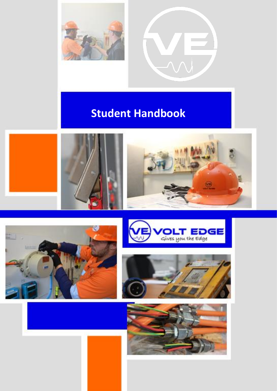



# **Student Handbook**





© This document is copyright. No part of this document may be reproduced, copied or transmitted without written permission from Volt Edge





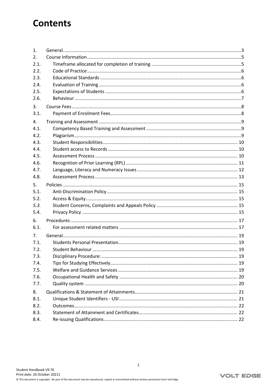## **Contents**

| $\mathbf{1}$ . |  |
|----------------|--|
| 2.             |  |
| 2.1.           |  |
| 2.2.           |  |
| 2.3.           |  |
| 2.4.           |  |
| 2.5.           |  |
| 2.6.           |  |
| 3.             |  |
| 3.1.           |  |
| 4.             |  |
| 4.1.           |  |
| 4.2.           |  |
| 4.3.           |  |
| 4.4.           |  |
| 4.5.           |  |
| 4.6.           |  |
| 4.7.           |  |
| 4.8.           |  |
| 5.             |  |
| 5.1.           |  |
| 5.2.           |  |
| 5.3.           |  |
| 5.4.           |  |
| 6.             |  |
| 6.1.           |  |
| 7.             |  |
| 7.1.           |  |
| 7.2.           |  |
| 7.3.           |  |
| 7.4.           |  |
| 7.5.           |  |
| 7.6.           |  |
| 7.7.           |  |
| 8.             |  |
| 8.1.           |  |
| 8.2.           |  |
| 8.3.           |  |
| 8.4.           |  |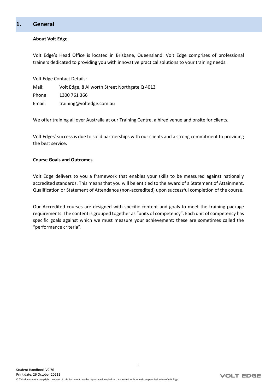## <span id="page-2-0"></span>**1. General**

#### **About Volt Edge**

Volt Edge's Head Office is located in Brisbane, Queensland. Volt Edge comprises of professional trainers dedicated to providing you with innovative practical solutions to your training needs.

Volt Edge Contact Details:

Mail: Volt Edge, 8 Allworth Street Northgate Q 4013 Phone: 1300 761 366 Email: [training@voltedge.com.au](mailto:training@voltedge.com.au)

We offer training all over Australia at our Training Centre, a hired venue and onsite for clients.

Volt Edges' success is due to solid partnerships with our clients and a strong commitment to providing the best service.

#### **Course Goals and Outcomes**

Volt Edge delivers to you a framework that enables your skills to be measured against nationally accredited standards. This means that you will be entitled to the award of a Statement of Attainment, Qualification or Statement of Attendance (non-accredited) upon successful completion of the course.

Our Accredited courses are designed with specific content and goals to meet the training package requirements. The content is grouped together as "units of competency". Each unit of competency has specific goals against which we must measure your achievement; these are sometimes called the "performance criteria".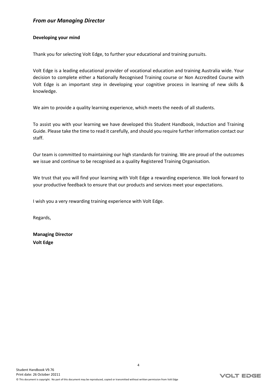### *From our Managing Director*

#### **Developing your mind**

Thank you for selecting Volt Edge, to further your educational and training pursuits.

Volt Edge is a leading educational provider of vocational education and training Australia wide. Your decision to complete either a Nationally Recognised Training course or Non Accredited Course with Volt Edge is an important step in developing your cognitive process in learning of new skills & knowledge.

We aim to provide a quality learning experience, which meets the needs of all students.

To assist you with your learning we have developed this Student Handbook, Induction and Training Guide. Please take the time to read it carefully, and should you require further information contact our staff.

Our team is committed to maintaining our high standards for training. We are proud of the outcomes we issue and continue to be recognised as a quality Registered Training Organisation.

We trust that you will find your learning with Volt Edge a rewarding experience. We look forward to your productive feedback to ensure that our products and services meet your expectations.

I wish you a very rewarding training experience with Volt Edge.

Regards,

**Managing Director Volt Edge**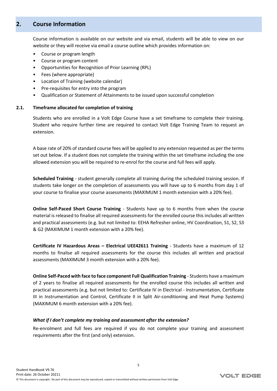## <span id="page-4-0"></span>**2. Course Information**

Course information is available on our website and via email, students will be able to view on our website or they will receive via email a course outline which provides information on:

- Course or program length
- Course or program content
- Opportunities for Recognition of Prior Learning (RPL)
- Fees (where appropriate)
- Location of Training (website calendar)
- Pre-requisites for entry into the program
- <span id="page-4-1"></span>• Qualification or Statement of Attainments to be issued upon successful completion

#### **2.1. Timeframe allocated for completion of training**

Students who are enrolled in a Volt Edge Course have a set timeframe to complete their training. Student who require further time are required to contact Volt Edge Training Team to request an extension.

A base rate of 20% of standard course fees will be applied to any extension requested as per the terms set out below. If a student does not complete the training within the set timeframe including the one allowed extension you will be required to re-enrol for the course and full fees will apply.

**Scheduled Training** - student generally complete all training during the scheduled training session. If students take longer on the completion of assessments you will have up to 6 months from day 1 of your course to finalise your course assessments (MAXIMUM 1 month extension with a 20% fee).

**Online Self-Paced Short Course Training** - Students have up to 6 months from when the course material is released to finalise all required assessments for the enrolled course this includes all written and practical assessments (e.g. but not limited to: EEHA Refresher online, HV Coordination, S1, S2, S3 & G2 (MAXIMUM 1 month extension with a 20% fee).

**Certificate IV Hazardous Areas – Electrical UEE42611 Training** - Students have a maximum of 12 months to finalise all required assessments for the course this includes all written and practical assessments (MAXIMUM 3 month extension with a 20% fee).

**Online Self-Paced with face to face component Full Qualification Training** - Students have a maximum of 2 years to finalise all required assessments for the enrolled course this includes all written and practical assessments (e.g. but not limited to: Certificate IV in Electrical - Instrumentation, Certificate III in Instrumentation and Control, Certificate II in Split Air-conditioning and Heat Pump Systems) (MAXIMUM 6 month extension with a 20% fee).

#### *What if I don't complete my training and assessment after the extension?*

Re-enrolment and full fees are required if you do not complete your training and assessment requirements after the first (and only) extension.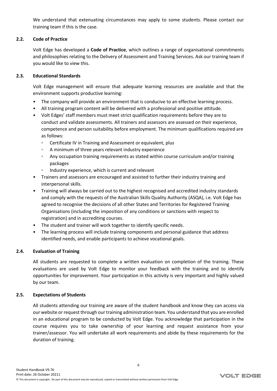<span id="page-5-0"></span>We understand that extenuating circumstances may apply to some students. Please contact our training team if this is the case.

#### **2.2. Code of Practice**

Volt Edge has developed a **Code of Practice**, which outlines a range of organisational commitments and philosophies relating to the Delivery of Assessment and Training Services. Ask our training team if you would like to view this.

#### **2.3. Educational Standards**

<span id="page-5-1"></span>Volt Edge management will ensure that adequate learning resources are available and that the environment supports productive learning:

- The company will provide an environment that is conducive to an effective learning process.
- All training program content will be delivered with a professional and positive attitude.
- Volt Edges' staff members must meet strict qualification requirements before they are to conduct and validate assessments. All trainers and assessors are assessed on their experience, competence and person suitability before employment. The minimum qualifications required are as follows:
	- Certificate IV in Training and Assessment or equivalent, plus
	- A minimum of three years relevant industry experience
	- Any occupation training requirements as stated within course curriculum and/or training packages
	- Industry experience, which is current and relevant
- Trainers and assessors are encouraged and assisted to further their industry training and interpersonal skills.
- Training will always be carried out to the highest recognised and accredited industry standards and comply with the requests of the Australian Skills Quality Authority (ASQA), i.e. Volt Edge has agreed to recognise the decisions of all other States and Territories for Registered Training Organisations (including the imposition of any conditions or sanctions with respect to registration) and in accrediting courses.
- The student and trainer will work together to identify specific needs.
- <span id="page-5-2"></span>• The learning process will include training components and personal guidance that address identified needs, and enable participants to achieve vocational goals.

#### **2.4. Evaluation of Training**

All students are requested to complete a written evaluation on completion of the training. These evaluations are used by Volt Edge to monitor your feedback with the training and to identify opportunities for improvement. Your participation in this activity is very important and highly valued by our team.

#### **2.5. Expectations of Students**

<span id="page-5-3"></span>All students attending our training are aware of the student handbook and know they can access via our website or request through our training administration team. You understand that you are enrolled in an educational program to be conducted by Volt Edge. You acknowledge that participation in the course requires you to take ownership of your learning and request assistance from your trainer/assessor. You will undertake all work requirements and abide by these requirements for the duration of training.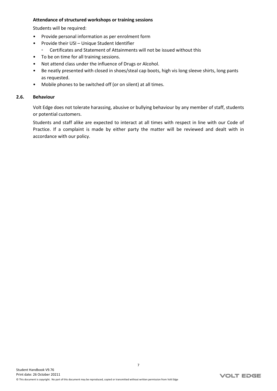#### **Attendance of structured workshops or training sessions**

Students will be required:

- Provide personal information as per enrolment form
- Provide their USI Unique Student Identifier
	- Certificates and Statement of Attainments will not be issued without this
- To be on time for all training sessions.
- Not attend class under the influence of Drugs or Alcohol.
- Be neatly presented with closed in shoes/steal cap boots, high vis long sleeve shirts, long pants as requested.
- <span id="page-6-0"></span>• Mobile phones to be switched off (or on silent) at all times.

#### **2.6. Behaviour**

Volt Edge does not tolerate harassing, abusive or bullying behaviour by any member of staff, students or potential customers.

Students and staff alike are expected to interact at all times with respect in line with our Code of Practice. If a complaint is made by either party the matter will be reviewed and dealt with in accordance with our policy.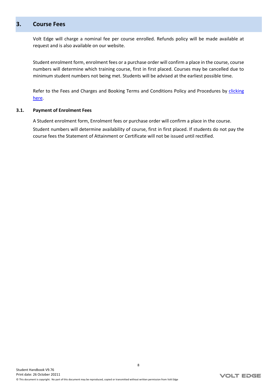## <span id="page-7-0"></span>**3. Course Fees**

Volt Edge will charge a nominal fee per course enrolled. Refunds policy will be made available at request and is also available on our website.

Student enrolment form, enrolment fees or a purchase order will confirm a place in the course, course numbers will determine which training course, first in first placed. Courses may be cancelled due to minimum student numbers not being met. Students will be advised at the earliest possible time.

<span id="page-7-1"></span>Refer to the Fees and Charges and Booking Terms and Conditions Policy and Procedures by [clicking](https://www.voltedge.com.au/rto-details/) [here.](https://www.voltedge.com.au/rto-details/)

#### **3.1. Payment of Enrolment Fees**

A Student enrolment form, Enrolment fees or purchase order will confirm a place in the course. Student numbers will determine availability of course, first in first placed. If students do not pay the course fees the Statement of Attainment or Certificate will not be issued until rectified.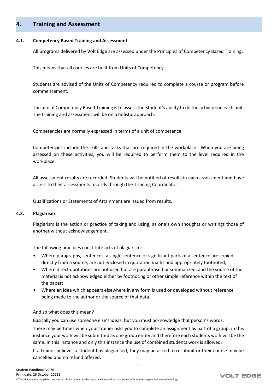## <span id="page-8-0"></span>**4. Training and Assessment**

#### **4.1. Competency Based Training and Assessment**

<span id="page-8-1"></span>All programs delivered by Volt Edge are assessed under the Principles of Competency Based Training.

This means that all courses are built from Units of Competency.

Students are advised of the Units of Competency required to complete a course or program before commencement.

The aim of Competency Based Training is to assess the Student's ability to do the activities in each unit. The training and assessment will be on a holistic approach.

Competencies are normally expressed in terms of a unit of competence.

Competencies include the skills and tasks that are required in the workplace. When you are being assessed on these activities, you will be required to perform them to the level required in the workplace.

All assessment results are recorded. Students will be notified of results in each assessment and have access to their assessments records through the Training Coordinator.

<span id="page-8-2"></span>Qualifications or Statements of Attainment are issued from results.

#### **4.2. Plagiarism**

Plagiarism is the action or practice of taking and using, as one's own thoughts or writings those of another without acknowledgement.

The following practices constitute acts of plagiarism:

- Where paragraphs, sentences, a single sentence or significant parts of a sentence are copied directly from a source, are not enclosed in quotation marks and appropriately footnoted;
- Where direct quotations are not used but are paraphrased or summarized, and the source of the material is not acknowledged either by footnoting or other simple reference within the text of the paper;
- Where an idea which appears elsewhere in any form is used or developed without reference being made to the author or the source of that data.

And so what does this mean?

Basically you can use someone else's ideas, but you must acknowledge that person's words.

There may be times when your trainer asks you to complete an assignment as part of a group, in this instance your work will be submitted as one group entity and therefore each students work will be the same. In this instance and only this instance the use of combined students work is allowed.

If a trainer believes a student has plagiarised, they may be asked to resubmit or their course may be cancelled and no refund offered.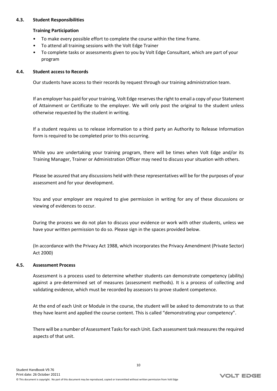#### **4.3. Student Responsibilities**

#### <span id="page-9-0"></span>**Training Participation**

- To make every possible effort to complete the course within the time frame.
- To attend all training sessions with the Volt Edge Trainer
- <span id="page-9-1"></span>• To complete tasks or assessments given to you by Volt Edge Consultant, which are part of your program

#### **4.4. Student access to Records**

Our students have access to their records by request through our training administration team.

If an employer has paid for your training, Volt Edge reserves the right to email a copy of your Statement of Attainment or Certificate to the employer. We will only post the original to the student unless otherwise requested by the student in writing.

If a student requires us to release information to a third party an Authority to Release Information form is required to be completed prior to this occurring.

While you are undertaking your training program, there will be times when Volt Edge and/or its Training Manager, Trainer or Administration Officer may need to discuss your situation with others.

Please be assured that any discussions held with these representatives will be for the purposes of your assessment and for your development.

You and your employer are required to give permission in writing for any of these discussions or viewing of evidences to occur.

During the process we do not plan to discuss your evidence or work with other students, unless we have your written permission to do so. Please sign in the spaces provided below.

<span id="page-9-2"></span>(In accordance with the Privacy Act 1988, which incorporates the Privacy Amendment (Private Sector) Act 2000)

#### **4.5. Assessment Process**

Assessment is a process used to determine whether students can demonstrate competency (ability) against a pre-determined set of measures (assessment methods). It is a process of collecting and validating evidence, which must be recorded by assessors to prove student competence.

At the end of each Unit or Module in the course, the student will be asked to demonstrate to us that they have learnt and applied the course content. This is called "demonstrating your competency".

There will be a number of Assessment Tasks for each Unit. Each assessment task measures the required aspects of that unit.

10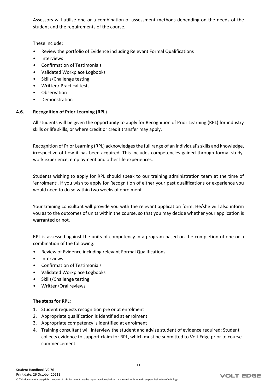Assessors will utilise one or a combination of assessment methods depending on the needs of the student and the requirements of the course.

These include:

- Review the portfolio of Evidence including Relevant Formal Qualifications
- **Interviews**
- Confirmation of Testimonials
- Validated Workplace Logbooks
- Skills/Challenge testing
- Written/ Practical tests
- Observation
- <span id="page-10-0"></span>• Demonstration

#### **4.6. Recognition of Prior Learning (RPL)**

All students will be given the opportunity to apply for Recognition of Prior Learning (RPL) for industry skills or life skills, or where credit or credit transfer may apply.

Recognition of Prior Learning (RPL) acknowledges the full range of an individual's skills and knowledge, irrespective of how it has been acquired. This includes competencies gained through formal study, work experience, employment and other life experiences.

Students wishing to apply for RPL should speak to our training administration team at the time of 'enrolment'. If you wish to apply for Recognition of either your past qualifications or experience you would need to do so within two weeks of enrolment.

Your training consultant will provide you with the relevant application form. He/she will also inform you as to the outcomes of units within the course, so that you may decide whether your application is warranted or not.

RPL is assessed against the units of competency in a program based on the completion of one or a combination of the following:

- Review of Evidence including relevant Formal Qualifications
- Interviews
- Confirmation of Testimonials
- Validated Workplace Logbooks
- Skills/Challenge testing
- Written/Oral reviews

#### **The steps for RPL:**

- 1. Student requests recognition pre or at enrolment
- 2. Appropriate qualification is identified at enrolment
- 3. Appropriate competency is identified at enrolment
- 4. Training consultant will interview the student and advise student of evidence required; Student collects evidence to support claim for RPL, which must be submitted to Volt Edge prior to course commencement.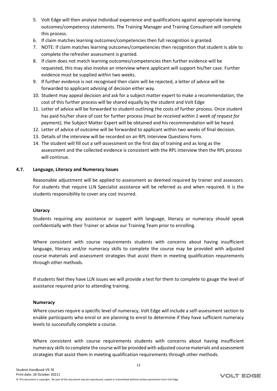- 5. Volt Edge will then analyse individual experience and qualifications against appropriate learning outcomes/competency statements. The Training Manager and Training Consultant will complete this process.
- 6. If claim matches learning outcomes/competencies then full recognition is granted.
- 7. NOTE: If claim matches learning outcomes/competencies then recognition that student is able to complete the refresher assessment is granted.
- 8. If claim does not match learning outcomes/competencies then further evidence will be requested, this may also involve an interview where applicant will support his/her case. Further evidence must be supplied within two weeks.
- 9. If further evidence is not recognised then claim will be rejected, a letter of advice will be forwarded to applicant advising of decision either way.
- 10. Student may appeal decision and ask for a subject matter expert to make a recommendation, the cost of this further process will be shared equally by the student and Volt Edge
- 11. Letter of advice will be forwarded to student outlining the costs of further process. Once student has paid his/her share of cost for further process *(must be received within 1 week of request for payment)*, the Subject Matter Expert will be obtained and his recommendation will be heard.
- 12. Letter of advice of outcome will be forwarded to applicant within two weeks of final decision.
- 13. Details of the interview will be recorded on an RPL Interview Questions Form.
- 14. The student will fill out a self-assessment on the first day of training and as long as the assessment and the collected evidence is consistent with the RPL interview then the RPL process will continue.

#### **4.7. Language, Literacy and Numeracy Issues**

<span id="page-11-0"></span>Reasonable adjustment will be applied to assessment as deemed required by trainer and assessors. For students that require LLN Specialist assistance will be referred as and when required. It is the students responsibility to cover any cost incurred.

#### **Literacy**

Students requiring any assistance or support with language, literacy or numeracy should speak confidentially with their Trainer or advise our Training Team prior to enrolling.

Where consistent with course requirements students with concerns about having insufficient language, literacy and/or numeracy skills to complete the course may be provided with adjusted course materials and assessment strategies that assist them in meeting qualification requirements through other methods.

If students feel they have LLN issues we will provide a test for them to complete to gauge the level of assistance required prior to attending training.

#### **Numeracy**

Where courses require a specific level of numeracy, Volt Edge will include a self-assessment section to enable participants who enrol or are planning to enrol to determine if they have sufficient numeracy levels to successfully complete a course.

Where consistent with course requirements students with concerns about having insufficient numeracy skills to complete the course will be provided with adjusted course materials and assessment strategies that assist them in meeting qualification requirements through other methods.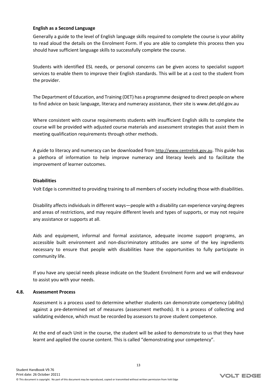#### **English as a Second Language**

Generally a guide to the level of English language skills required to complete the course is your ability to read aloud the details on the Enrolment Form. If you are able to complete this process then you should have sufficient language skills to successfully complete the course.

Students with identified ESL needs, or personal concerns can be given access to specialist support services to enable them to improve their English standards. This will be at a cost to the student from the provider.

The Department of Education, and Training (DET) has a programme designed to direct people on where to find advice on basic language, literacy and numeracy assistance, their site is www.det.qld.gov.au

Where consistent with course requirements students with insufficient English skills to complete the course will be provided with adjusted course materials and assessment strategies that assist them in meeting qualification requirements through other methods.

A guide to literacy and numeracy can be downloaded from [http://www.centrelink.gov.au](http://www.centrelink.gov.au/). This guide has a plethora of information to help improve numeracy and literacy levels and to facilitate the improvement of learner outcomes.

#### **Disabilities**

Volt Edge is committed to providing training to all members of society including those with disabilities.

Disability affects individuals in different ways—people with a disability can experience varying degrees and areas of restrictions, and may require different levels and types of supports, or may not require any assistance or supports at all.

Aids and equipment, informal and formal assistance, adequate income support programs, an accessible built environment and non-discriminatory attitudes are some of the key ingredients necessary to ensure that people with disabilities have the opportunities to fully participate in community life.

<span id="page-12-0"></span>If you have any special needs please indicate on the Student Enrolment Form and we will endeavour to assist you with your needs.

#### **4.8. Assessment Process**

Assessment is a process used to determine whether students can demonstrate competency (ability) against a pre-determined set of measures (assessment methods). It is a process of collecting and validating evidence, which must be recorded by assessors to prove student competence.

At the end of each Unit in the course, the student will be asked to demonstrate to us that they have learnt and applied the course content. This is called "demonstrating your competency".

13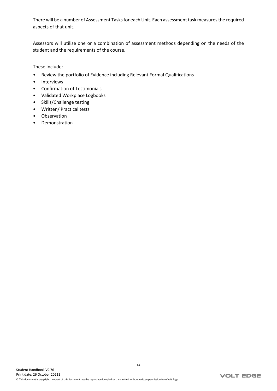There will be a number of Assessment Tasks for each Unit. Each assessment task measures the required aspects of that unit.

Assessors will utilise one or a combination of assessment methods depending on the needs of the student and the requirements of the course.

These include:

- Review the portfolio of Evidence including Relevant Formal Qualifications
- Interviews
- Confirmation of Testimonials
- Validated Workplace Logbooks
- Skills/Challenge testing
- Written/ Practical tests
- Observation
- Demonstration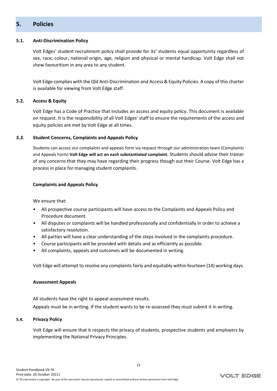## <span id="page-14-0"></span>**5. Policies**

#### **5.1. Anti-Discrimination Policy**

<span id="page-14-1"></span>Volt Edges' student recruitment policy shall provide for its' students equal opportunity regardless of sex, race, colour, national origin, age, religion and physical or mental handicap. Volt Edge shall not show favouritism in any area to any student.

<span id="page-14-2"></span>Volt Edge complies with the Qld Anti-Discrimination and Access & Equity Policies. A copy of this charter is available for viewing from Volt Edge staff.

#### **5.2. Access & Equity**

Volt Edge has a Code of Practice that includes an access and equity policy. This document is available on request. It is the responsibility of all Volt Edges' staff to ensure the requirements of the access and equity policies are met by Volt Edge at all times.

#### *5.3.* **Student Concerns, Complaints and Appeals Policy**

<span id="page-14-3"></span>Students can access our complaints and appeals form via request through our administration team (Complaints and Appeals Form) **Volt Edge will act on each substantiated complaint.** Students should advise their trainer of any concerns that they may have regarding their progress though out their Course. Volt Edge has a process in place for managing student complaints.

#### **Complaints and Appeals Policy**

We ensure that:

- All prospective course participants will have access to the Complaints and Appeals Policy and Procedure document.
- All disputes or complaints will be handled professionally and confidentially in order to achieve a satisfactory resolution.
- All parties will have a clear understanding of the steps involved in the complaints procedure.
- Course participants will be provided with details and as efficiently as possible.
- All complaints, appeals and outcomes will be documented in writing.

Volt Edge will attempt to resolve any complaints fairly and equitably within fourteen (14) working days.

#### **Assessment Appeals**

All students have the right to appeal assessment results. Appeals must be in writing. If the student wants to be re-assessed they must submit it in writing.

#### **5.4. Privacy Policy**

<span id="page-14-4"></span>Volt Edge will ensure that it respects the privacy of students, prospective students and employers by implementing the National Privacy Principles.

15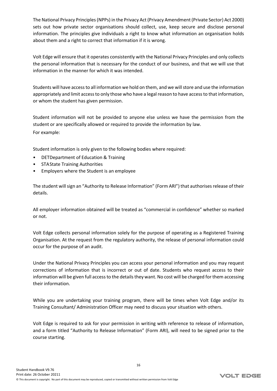The National Privacy Principles (NPPs) in the Privacy Act (Privacy Amendment (Private Sector) Act 2000) sets out how private sector organisations should collect, use, keep secure and disclose personal information. The principles give individuals a right to know what information an organisation holds about them and a right to correct that information if it is wrong.

Volt Edge will ensure that it operates consistently with the National Privacy Principles and only collects the personal information that is necessary for the conduct of our business, and that we will use that information in the manner for which it was intended.

Students will have access to all information we hold on them, and we will store and use the information appropriately and limit access to only those who have a legal reason to have access to that information, or whom the student has given permission.

Student information will not be provided to anyone else unless we have the permission from the student or are specifically allowed or required to provide the information by law. For example:

Student information is only given to the following bodies where required:

- DETDepartment of Education & Training
- STAState Training Authorities
- Employers where the Student is an employee

The student will sign an "Authority to Release Information" (Form ARI") that authorises release of their details.

All employer information obtained will be treated as "commercial in confidence" whether so marked or not.

Volt Edge collects personal information solely for the purpose of operating as a Registered Training Organisation. At the request from the regulatory authority, the release of personal information could occur for the purpose of an audit.

Under the National Privacy Principles you can access your personal information and you may request corrections of information that is incorrect or out of date. Students who request access to their information will be given full access to the details they want. No cost will be charged for them accessing their information.

While you are undertaking your training program, there will be times when Volt Edge and/or its Training Consultant/ Administration Officer may need to discuss your situation with others.

Volt Edge is required to ask for your permission in writing with reference to release of information, and a form titled "Authority to Release Information" (Form ARI), will need to be signed prior to the course starting.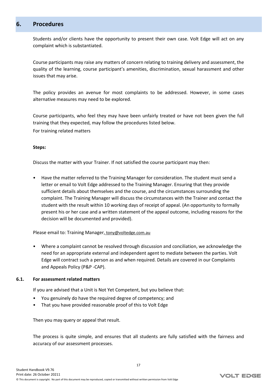## <span id="page-16-0"></span>**6. Procedures**

Students and/or clients have the opportunity to present their own case. Volt Edge will act on any complaint which is substantiated.

Course participants may raise any matters of concern relating to training delivery and assessment, the quality of the learning, course participant's amenities, discrimination, sexual harassment and other issues that may arise.

The policy provides an avenue for most complaints to be addressed. However, in some cases alternative measures may need to be explored.

Course participants, who feel they may have been unfairly treated or have not been given the full training that they expected, may follow the procedures listed below.

For training related matters

#### **Steps:**

Discuss the matter with your Trainer. If not satisfied the course participant may then:

• Have the matter referred to the Training Manager for consideration. The student must send a letter or email to Volt Edge addressed to the Training Manager. Ensuring that they provide sufficient details about themselves and the course, and the circumstances surrounding the complaint. The Training Manager will discuss the circumstances with the Trainer and contact the student with the result within 10 working days of receipt of appeal. (An opportunity to formally present his or her case and a written statement of the appeal outcome, including reasons for the decision will be documented and provided).

Please email to: Training Manager, [tony@voltedge.com.au](mailto:%20tony@metrain.com.au)

• Where a complaint cannot be resolved through discussion and conciliation, we acknowledge the need for an appropriate external and independent agent to mediate between the parties. Volt Edge will contract such a person as and when required. Details are covered in our Complaints and Appeals Policy (P&P -CAP).

#### **6.1. For assessment related matters**

<span id="page-16-1"></span>If you are advised that a Unit is Not Yet Competent, but you believe that:

- You genuinely do have the required degree of competency; and
- That you have provided reasonable proof of this to Volt Edge

Then you may query or appeal that result.

The process is quite simple, and ensures that all students are fully satisfied with the fairness and accuracy of our assessment processes.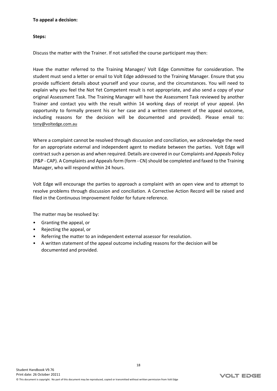#### **To appeal a decision:**

#### **Steps:**

Discuss the matter with the Trainer. If not satisfied the course participant may then:

Have the matter referred to the Training Manager/ Volt Edge Committee for consideration. The student must send a letter or email to Volt Edge addressed to the Training Manager. Ensure that you provide sufficient details about yourself and your course, and the circumstances. You will need to explain why you feel the Not Yet Competent result is not appropriate, and also send a copy of your original Assessment Task. The Training Manager will have the Assessment Task reviewed by another Trainer and contact you with the result within 14 working days of receipt of your appeal. (An opportunity to formally present his or her case and a written statement of the appeal outcome, including reasons for the decision will be documented and provided). Please email to: [tony@voltedge.com.au](mailto:%20tony@voltedge.com.au) 

Where a complaint cannot be resolved through discussion and conciliation, we acknowledge the need for an appropriate external and independent agent to mediate between the parties. Volt Edge will contract such a person as and when required. Details are covered in our Complaints and Appeals Policy (P&P - CAP). A Complaints and Appeals form (form - CN) should be completed and faxed to the Training Manager, who will respond within 24 hours.

Volt Edge will encourage the parties to approach a complaint with an open view and to attempt to resolve problems through discussion and conciliation. A Corrective Action Record will be raised and filed in the Continuous Improvement Folder for future reference.

18

The matter may be resolved by:

- Granting the appeal, or
- Rejecting the appeal, or
- Referring the matter to an independent external assessor for resolution.
- A written statement of the appeal outcome including reasons for the decision will be documented and provided.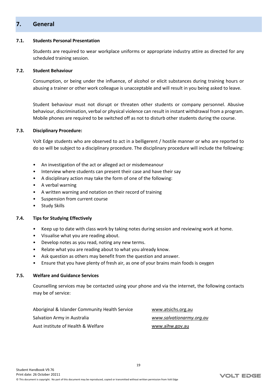## <span id="page-18-0"></span>**7. General**

#### **7.1. Students Personal Presentation**

<span id="page-18-2"></span><span id="page-18-1"></span>Students are required to wear workplace uniforms or appropriate industry attire as directed for any scheduled training session.

#### **7.2. Student Behaviour**

Consumption, or being under the influence, of alcohol or elicit substances during training hours or abusing a trainer or other work colleague is unacceptable and will result in you being asked to leave.

Student behaviour must not disrupt or threaten other students or company personnel. Abusive behaviour, discrimination, verbal or physical violence can result in instant withdrawal from a program. Mobile phones are required to be switched off as not to disturb other students during the course.

#### **7.3. Disciplinary Procedure:**

<span id="page-18-3"></span>Volt Edge students who are observed to act in a belligerent / hostile manner or who are reported to do so will be subject to a disciplinary procedure. The disciplinary procedure will include the following:

- An investigation of the act or alleged act or misdemeanour
- Interview where students can present their case and have their say
- A disciplinary action may take the form of one of the following:
- A verbal warning
- A written warning and notation on their record of training
- Suspension from current course
- <span id="page-18-4"></span>• Study Skills

#### **7.4. Tips for Studying Effectively**

- Keep up to date with class work by taking notes during session and reviewing work at home.
- Visualise what you are reading about.
- Develop notes as you read, noting any new terms.
- Relate what you are reading about to what you already know.
- Ask question as others may benefit from the question and answer.
- <span id="page-18-5"></span>• Ensure that you have plenty of fresh air, as one of your brains main foods is oxygen

#### **7.5. Welfare and Guidance Services**

Counselling services may be contacted using your phone and via the internet, the following contacts may be of service:

| Aboriginal & Islander Community Health Service | www.atsichs.org.au       |
|------------------------------------------------|--------------------------|
| Salvation Army in Australia                    | www.salvationarmy.org.au |
| Aust institute of Health & Welfare             | www.aihw.gov.au          |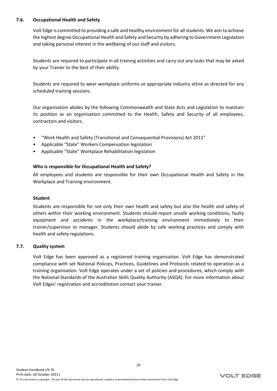#### **7.6. Occupational Health and Safety**

<span id="page-19-0"></span>Volt Edge is committed to providing a safe and healthy environment for all students. We aim to achieve the highest degree Occupational Health and Safety and Security by adhering to Government Legislation and taking personal interest in the wellbeing of our staff and visitors.

Students are required to participate in all training activities and carry out any tasks that may be asked by your Trainer to the best of their ability.

Students are required to wear workplace uniforms or appropriate industry attire as directed for any scheduled training sessions.

Our organisation abides by the following Commonwealth and State Acts and Legislation to maintain its position as an organisation committed to the Health, Safety and Security of all employees, contractors and visitors.

- "Work Health and Safety (Transitional and Consequential Provisions) Act 2011"
- Applicable "State" Workers Compensation legislation
- Applicable "State" Workplace Rehabilitation legislation

#### **Who is responsible for Occupational Health and Safety?**

All employees and students are responsible for their own Occupational Health and Safety in the Workplace and Training environment.

#### **Student**

Students are responsible for not only their own health and safety but also the health and safety of others within their working environment. Students should report unsafe working conditions, faulty equipment and accidents in the workplace/training environment immediately to their trainer/supervisor or manager. Students should abide by safe working practices and comply with health and safety regulations.

#### **7.7. Quality system**

<span id="page-19-1"></span>Volt Edge has been approved as a registered training organisation. Volt Edge has demonstrated compliance with set National Policies, Practices, Guidelines and Protocols related to operation as a training organisation. Volt Edge operates under a set of policies and procedures, which comply with the National Standards of the Australian Skills Quality Authority (ASQA). For more information about Volt Edges' registration and accreditation contact your trainer.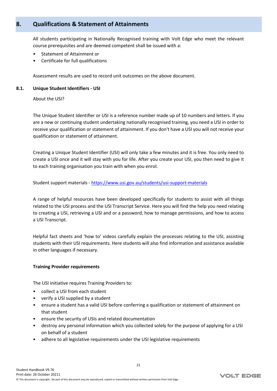## <span id="page-20-0"></span>**8. Qualifications & Statement of Attainments**

All students participating in Nationally Recognised training with Volt Edge who meet the relevant course prerequisites and are deemed competent shall be issued with a:

- Statement of Attainment or
- Certificate for full qualifications

<span id="page-20-1"></span>Assessment results are used to record unit outcomes on the above document.

#### **8.1. Unique Student Identifiers - USI**

About the USI?

The Unique Student Identifier or USI is a reference number made up of 10 numbers and letters. If you are a new or continuing student undertaking nationally recognised training, you need a USI in order to receive your qualification or statement of attainment. If you don't have a USI you will not receive your qualification or statement of attainment.

Creating a Unique Student Identifier (USI) will only take a few minutes and it is free. You only need to create a USI once and it will stay with you for life. After you create your USI, you then need to give it to each training organisation you train with when you enrol.

Student support materials - <https://www.usi.gov.au/students/usi-support-materials>

A range of helpful resources have been developed specifically for students to assist with all things related to the USI process and the USI Transcript Service. Here you will find the help you need relating to creating a USI, retrieving a USI and or a password, how to manage permissions, and how to access a USI Transcript.

Helpful fact sheets and 'how to' videos carefully explain the processes relating to the USI, assisting students with their USI requirements. Here students will also find information and assistance available in other languages if necessary.

#### **Training Provider requirements**

The USI initiative requires Training Providers to:

- collect a USI from each student
- verify a USI supplied by a student
- ensure a student has a valid USI before conferring a qualification or statement of attainment on that student
- ensure the security of USIs and related documentation
- destroy any personal information which you collected solely for the purpose of applying for a USI on behalf of a student
- adhere to all legislative requirements under the USI legislative requirements